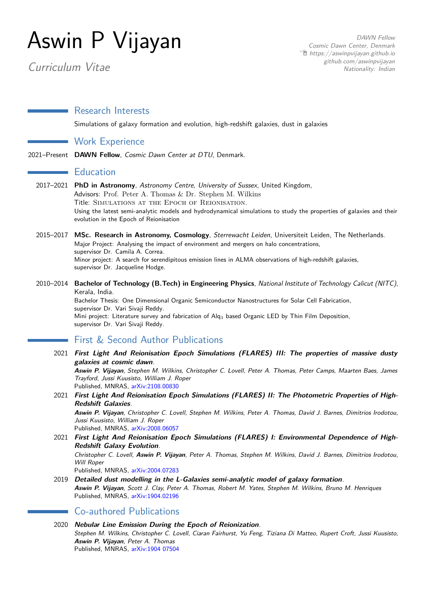# Aswin P Vijayan

Curriculum Vitae

DAWN Fellow Cosmic Dawn Center, Denmark  $\hat{\mathbb{E}}$  [https://aswinpvijayan.github.io](http://https://aswinpvijayan.github.io) [github.com/aswinpvijayan](https://github.com/aswinpvijayan) Nationality: Indian

Research Interests

Simulations of galaxy formation and evolution, high-redshift galaxies, dust in galaxies

Work Experience

2021–Present **DAWN Fellow**, Cosmic Dawn Center at DTU, Denmark.

### $\blacksquare$  Education

- 2017–2021 **PhD in Astronomy**, Astronomy Centre, University of Sussex, United Kingdom, Advisors: [Prof. Peter A. Thomas](https://profiles.sussex.ac.uk/p2672-peter-thomas/about) & [Dr. Stephen M. Wilkins](http://stephenwilkins.co.uk/) Title: Simulations at the Epoch of Reionisation. Using the latest semi-analytic models and hydrodynamical simulations to study the properties of galaxies and their evolution in the Epoch of Reionisation
- 2015–2017 **MSc. Research in Astronomy, Cosmology**, Sterrewacht Leiden, Universiteit Leiden, The Netherlands. Major Project: Analysing the impact of environment and mergers on halo concentrations, supervisor [Dr. Camila A. Correa.](https://camilacorrea.com/) Minor project: A search for serendipitous emission lines in ALMA observations of high-redshift galaxies, supervisor [Dr. Jacqueline Hodge.](https://home.strw.leidenuniv.nl/~hodge/)
- 2010–2014 **Bachelor of Technology (B.Tech) in Engineering Physics**, National Institute of Technology Calicut (NITC), Kerala, India.

Bachelor Thesis: One Dimensional Organic Semiconductor Nanostructures for Solar Cell Fabrication, supervisor [Dr. Vari Sivaji Reddy.](http://nitc.ac.in/index.php/?url=users/view/223/13/3) Mini project: Literature survey and fabrication of Alq<sub>3</sub> based Organic LED by Thin Film Deposition, supervisor [Dr. Vari Sivaji Reddy.](http://nitc.ac.in/index.php/?url=users/view/223/13/3)

## First & Second Author Publications

2021 **First Light And Reionisation Epoch Simulations (FLARES) III: The properties of massive dusty galaxies at cosmic dawn**.

**Aswin P. Vijayan**, Stephen M. Wilkins, Christopher C. Lovell, Peter A. Thomas, Peter Camps, Maarten Baes, James Trayford, Jussi Kuusisto, William J. Roper Published, MNRAS, [arXiv:2108.00830](https://arxiv.org/abs/2108.00830)

2021 **First Light And Reionisation Epoch Simulations (FLARES) II: The Photometric Properties of High-Redshift Galaxies**.

**Aswin P. Vijayan**, Christopher C. Lovell, Stephen M. Wilkins, Peter A. Thomas, David J. Barnes, Dimitrios Irodotou, Jussi Kuusisto, William J. Roper Published, MNRAS, [arXiv:2008.06057](https://arxiv.org/abs/2008.06057)

- 2021 **First Light And Reionisation Epoch Simulations (FLARES) I: Environmental Dependence of High-Redshift Galaxy Evolution**. Christopher C. Lovell, **Aswin P. Vijayan**, Peter A. Thomas, Stephen M. Wilkins, David J. Barnes, Dimitrios Irodotou, Will Roper Published, MNRAS, [arXiv:2004.07283](https://ui.adsabs.harvard.edu/abs/2020MNRAS.tmp.3168L/abstract)
- 2019 **Detailed dust modelling in the L-Galaxies semi-analytic model of galaxy formation**. **Aswin P. Vijayan**, Scott J. Clay, Peter A. Thomas, Robert M. Yates, Stephen M. Wilkins, Bruno M. Henriques Published, MNRAS, [arXiv:1904.02196](https://ui.adsabs.harvard.edu/abs/2019MNRAS.489.4072V/abstract)

Co-authored Publications

2020 **Nebular Line Emission During the Epoch of Reionization**. Stephen M. Wilkins, Christopher C. Lovell, Ciaran Fairhurst, Yu Feng, Tiziana Di Matteo, Rupert Croft, Jussi Kuusisto, **Aswin P. Vijayan**, Peter A. Thomas Published, MNRAS, [arXiv:1904 07504](https://ui.adsabs.harvard.edu/abs/2020MNRAS.493.6079W/abstract)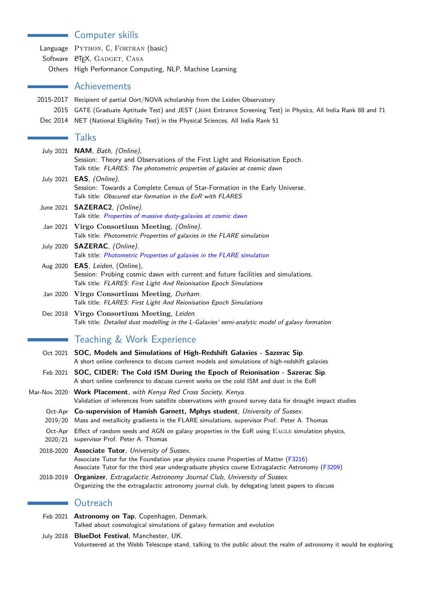# Computer skills

Language PYTHON, C, FORTRAN (basic) Software LATEX, GADGET, CASA Others High Performance Computing, NLP, Machine Learning

## Achievements

| 2015-2017 Recipient of partial Oort/NOVA scholarship from the Leiden Observatory                                 |
|------------------------------------------------------------------------------------------------------------------|
| 2015 GATE (Graduate Aptitude Test) and JEST (Joint Entrance Screening Test) in Physics, All India Rank 88 and 71 |
|                                                                                                                  |

Dec 2014 NET (National Eligibility Test) in the Physical Sciences, All India Rank 51

## **Talks**

Ē,

|           | July 2021 NAM, Bath, (Online),<br>Session: Theory and Observations of the First Light and Reionisation Epoch.<br>Talk title: FLARES: The photometric properties of galaxies at cosmic dawn                                                 |
|-----------|--------------------------------------------------------------------------------------------------------------------------------------------------------------------------------------------------------------------------------------------|
|           | July 2021 <b>EAS</b> , (Online),<br>Session: Towards a Complete Census of Star-Formation in the Early Universe.<br>Talk title: Obscured star formation in the EoR with FLARES                                                              |
|           | June 2021 SAZERAC2, (Online).<br>Talk title: Properties of massive dusty-galaxies at cosmic dawn                                                                                                                                           |
|           | Jan 2021 Virgo Consortium Meeting, (Online).<br>Talk title: Photometric Properties of galaxies in the FLARE simulation                                                                                                                     |
|           | July 2020 SAZERAC, (Online).<br>Talk title: Photometric Properties of galaxies in the FLARE simulation                                                                                                                                     |
|           | Aug 2020 EAS, Leiden, (Online),<br>Session: Probing cosmic dawn with current and future facilities and simulations.<br>Talk title: FLARES: First Light And Reionisation Epoch Simulations                                                  |
| Jan 2020  | Virgo Consortium Meeting, Durham.<br>Talk title: FLARES: First Light And Reionisation Epoch Simulations                                                                                                                                    |
|           | Dec 2018 Virgo Consortium Meeting, Leiden.<br>Talk title: Detailed dust modelling in the L-Galaxies' semi-analytic model of galaxy formation                                                                                               |
|           | Teaching & Work Experience                                                                                                                                                                                                                 |
|           | Oct 2021 SOC, Models and Simulations of High-Redshift Galaxies - Sazerac Sip.<br>A short online conference to discuss current models and simulations of high-redshift galaxies                                                             |
|           | Feb 2021 SOC, CIDER: The Cold ISM During the Epoch of Reionisation - Sazerac Sip.<br>A short online conference to discuss current works on the cold ISM and dust in the EoR                                                                |
|           | Mar-Nov 2020 Work Placement, with Kenya Red Cross Society, Kenya.<br>Validation of inferences from satellite observations with ground survey data for drought impact studies                                                               |
|           | Oct-Apr Co-supervision of Hamish Garnett, Mphys student, University of Sussex.<br>2019/20 Mass and metallicity gradients in the FLARE simulations, supervisor Prof. Peter A. Thomas                                                        |
|           | Oct-Apr Effect of random seeds and AGN on galaxy properties in the EoR using EAGLE simulation physics,<br>2020/21 supervisor Prof. Peter A. Thomas                                                                                         |
|           | 2018-2020 Associate Tutor, University of Sussex.<br>Associate Tutor for the Foundation year physics course Properties of Matter (F3216)<br>Associate Tutor for the third year undergraduate physics course Extragalactic Astronomy (F3209) |
| 2018-2019 | Organizer, Extragalactic Astronomy Journal Club, University of Sussex.<br>Organizing the the extragalactic astronomy journal club, by delegating latest papers to discuss                                                                  |
|           | Outreach                                                                                                                                                                                                                                   |
|           | Feb 2021 Astronomy on Tap, Copenhagen, Denmark.<br>Talked about cosmological simulations of galaxy formation and evolution                                                                                                                 |

July 2018 **BlueDot Festival**, Manchester, UK. Volunteered at the Webb Telescope stand, talking to the public about the realm of astronomy it would be exploring